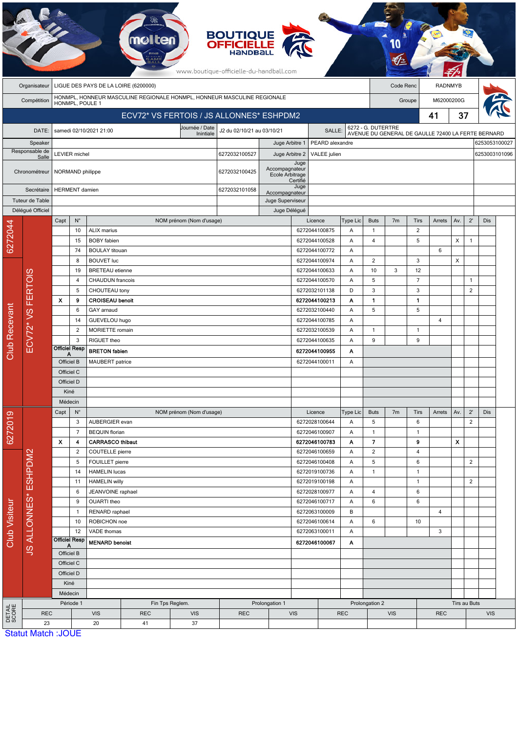|                           |                                                                                        |                                                             |                                                                         |                                             | <b>molten</b>          |                                                    | <b>BOUTIQUE</b><br><b>OFFICIELLE</b><br>намоваι<br>www.boutique-officielle-du-handball.com |                    |                                |                                          |                            |                    |                              |                |                                                    |                |                |                                |  |
|---------------------------|----------------------------------------------------------------------------------------|-------------------------------------------------------------|-------------------------------------------------------------------------|---------------------------------------------|------------------------|----------------------------------------------------|--------------------------------------------------------------------------------------------|--------------------|--------------------------------|------------------------------------------|----------------------------|--------------------|------------------------------|----------------|----------------------------------------------------|----------------|----------------|--------------------------------|--|
|                           | Organisateur                                                                           | LIGUE DES PAYS DE LA LOIRE (6200000)                        |                                                                         |                                             |                        |                                                    |                                                                                            |                    |                                |                                          |                            | Code Renc          |                              |                | <b>RADNMYB</b>                                     |                |                |                                |  |
|                           | HONMPL, HONNEUR MASCULINE REGIONALE HONMPL, HONNEUR MASCULINE REGIONALE<br>Compétition |                                                             |                                                                         |                                             |                        |                                                    |                                                                                            |                    |                                |                                          |                            |                    | Groupe                       |                |                                                    | M62000200G     |                |                                |  |
|                           |                                                                                        | HONMPL, POULE 1<br>ECV72* VS FERTOIS / JS ALLONNES* ESHPDM2 |                                                                         |                                             |                        |                                                    |                                                                                            |                    |                                |                                          |                            |                    | 41                           | 37             |                                                    |                |                |                                |  |
|                           |                                                                                        |                                                             |                                                                         |                                             |                        | Journée / Date                                     | J2 du 02/10/21 au 03/10/21                                                                 |                    |                                |                                          |                            | 6272 - G. DUTERTRE |                              |                |                                                    |                |                |                                |  |
|                           | DATE:                                                                                  |                                                             |                                                                         | samedi 02/10/2021 21:00                     |                        | Inintiale                                          |                                                                                            |                    |                                | SALLE:<br>PEARD alexandre                |                            |                    |                              |                | AVENUE DU GENERAL DE GAULLE 72400 LA FERTE BERNARD |                |                |                                |  |
| Speaker<br>Responsable de |                                                                                        |                                                             | <b>LEVIER</b> michel                                                    |                                             |                        |                                                    | 6272032100527                                                                              | Juge Arbitre 1     | Juge Arbitre 2<br>VALEE julien |                                          |                            |                    |                              |                |                                                    |                |                | 6253053100027<br>6253003101096 |  |
| Salle                     |                                                                                        |                                                             |                                                                         |                                             |                        |                                                    |                                                                                            |                    | Juge                           |                                          |                            |                    |                              |                |                                                    |                |                |                                |  |
|                           | Chronométreur                                                                          |                                                             | NORMAND philippe                                                        |                                             |                        | Accompagnateur<br>6272032100425<br>Ecole Arbitrage |                                                                                            |                    |                                |                                          |                            |                    |                              |                |                                                    |                |                |                                |  |
|                           | Secrétaire                                                                             |                                                             | <b>HERMENT</b> damien                                                   |                                             |                        |                                                    | 6272032101058                                                                              | Certifié<br>Juge   |                                |                                          |                            |                    |                              |                |                                                    |                |                |                                |  |
|                           | Tuteur de Table                                                                        |                                                             |                                                                         |                                             |                        | Accompagnateur<br>Juge Superviseur                 |                                                                                            |                    |                                |                                          |                            |                    |                              |                |                                                    |                |                |                                |  |
|                           | Délégué Officiel                                                                       |                                                             |                                                                         |                                             |                        |                                                    |                                                                                            | Juge Délégué       |                                |                                          |                            |                    |                              |                |                                                    |                |                |                                |  |
|                           |                                                                                        | Capt                                                        | $N^{\circ}$                                                             |                                             |                        | NOM prénom (Nom d'usage)                           |                                                                                            |                    |                                | Licence                                  | Type Lic                   | <b>Buts</b>        | 7 <sub>m</sub>               | Tirs           | Arrets                                             | Av.            | $2^{\prime}$   | <b>Dis</b>                     |  |
| 6272044                   |                                                                                        |                                                             | 10                                                                      | <b>ALIX</b> marius                          |                        |                                                    |                                                                                            |                    |                                | 6272044100875                            | Α                          | $\mathbf{1}$       |                              | $\overline{c}$ |                                                    |                |                |                                |  |
|                           |                                                                                        |                                                             | 15                                                                      | <b>BOBY</b> fabien                          |                        |                                                    |                                                                                            |                    |                                | 6272044100528                            | Α                          | 4                  |                              | 5              |                                                    | X              | $\overline{1}$ |                                |  |
|                           |                                                                                        |                                                             | 74                                                                      | <b>BOULAY</b> titouan                       |                        |                                                    |                                                                                            |                    |                                | 6272044100772                            | Α                          |                    |                              |                | 6                                                  |                |                |                                |  |
|                           |                                                                                        |                                                             | 8                                                                       | <b>BOUVET luc</b><br><b>BRETEAU</b> etienne |                        |                                                    |                                                                                            |                    |                                | 6272044100974                            | Α                          | 2<br>10            |                              | 3<br>12        |                                                    | X              |                |                                |  |
|                           |                                                                                        |                                                             | 19<br>$\overline{4}$                                                    | <b>CHAUDUN</b> francois                     |                        |                                                    |                                                                                            |                    |                                | 6272044100633<br>Α<br>6272044100570<br>A |                            | 5                  | 3                            | $\overline{7}$ |                                                    |                | $\mathbf{1}$   |                                |  |
|                           |                                                                                        |                                                             | 5                                                                       | CHOUTEAU tony                               |                        |                                                    |                                                                                            |                    |                                | 6272032101138                            | D                          | 3                  |                              | 3              |                                                    |                | $\overline{2}$ |                                |  |
| Club Recevant             | <b>FERTOIS</b>                                                                         | x<br>9                                                      |                                                                         |                                             | <b>CROISEAU benoit</b> |                                                    |                                                                                            |                    |                                | 6272044100213                            | Α                          | $\mathbf{1}$       |                              | $\mathbf{1}$   |                                                    |                |                |                                |  |
|                           | <b>ECV72*VS</b>                                                                        |                                                             | 6                                                                       | GAY arnaud                                  |                        |                                                    |                                                                                            |                    |                                | 6272032100440                            |                            | 5                  |                              | 5              |                                                    |                |                |                                |  |
|                           |                                                                                        |                                                             | 14                                                                      | GUEVELOU hugo                               |                        |                                                    |                                                                                            |                    |                                | 6272044100785                            | Α                          |                    |                              |                | $\overline{4}$                                     |                |                |                                |  |
|                           |                                                                                        |                                                             | $\overline{c}$                                                          | MORIETTE romain                             |                        |                                                    |                                                                                            |                    |                                | 6272032100539                            | Α                          | $\mathbf{1}$       |                              | $\mathbf{1}$   |                                                    |                |                |                                |  |
|                           |                                                                                        |                                                             | 3                                                                       | RIGUET theo                                 |                        |                                                    |                                                                                            |                    |                                | 6272044100635                            | Α                          | 9                  |                              | 9              |                                                    |                |                |                                |  |
|                           |                                                                                        | <b>Officiel Resp</b><br>Α                                   |                                                                         | <b>BRETON</b> fabien                        |                        |                                                    |                                                                                            | 6272044100955<br>Α |                                |                                          |                            |                    |                              |                |                                                    |                |                |                                |  |
|                           |                                                                                        | Officiel B                                                  |                                                                         | MAUBERT patrice                             |                        |                                                    |                                                                                            | 6272044100011<br>Α |                                |                                          |                            |                    |                              |                |                                                    |                |                |                                |  |
|                           |                                                                                        | Officiel C<br>Officiel D                                    |                                                                         |                                             |                        |                                                    |                                                                                            |                    |                                |                                          |                            |                    |                              |                |                                                    |                |                |                                |  |
|                           |                                                                                        | Kiné                                                        |                                                                         |                                             |                        |                                                    |                                                                                            |                    |                                |                                          |                            |                    |                              |                |                                                    |                |                |                                |  |
|                           |                                                                                        | Médecin                                                     |                                                                         |                                             |                        |                                                    |                                                                                            |                    |                                |                                          |                            |                    |                              |                |                                                    |                |                |                                |  |
|                           |                                                                                        | $N^{\circ}$<br>Capt                                         |                                                                         |                                             |                        | NOM prénom (Nom d'usage)                           |                                                                                            |                    |                                | Licence                                  | Type Lic                   | <b>Buts</b>        | 7 <sub>m</sub>               | Tirs           | Arrets                                             | Av.            | $2^{\prime}$   | Dis                            |  |
| 6272019                   |                                                                                        |                                                             | 3                                                                       | AUBERGIER evan                              |                        |                                                    |                                                                                            |                    | 6272028100644                  | Α                                        | 5                          |                    | 6                            |                |                                                    | $\overline{2}$ |                |                                |  |
|                           |                                                                                        |                                                             | $\overline{7}$<br><b>BEQUIN</b> florian<br><b>CARRASCO thibaut</b><br>4 |                                             |                        |                                                    |                                                                                            | 6272046100907      | Α                              | $\mathbf{1}$                             |                            | $\mathbf{1}$       |                              |                |                                                    |                |                |                                |  |
|                           |                                                                                        | x                                                           |                                                                         |                                             |                        |                                                    |                                                                                            |                    | 6272046100783                  | Α                                        | 7                          |                    | 9                            |                | X                                                  |                |                |                                |  |
|                           |                                                                                        |                                                             | $\overline{2}$<br>COUTELLE pierre                                       |                                             |                        |                                                    | 6272046100659                                                                              |                    | Α                              | $\overline{2}$                           |                            | $\overline{4}$     |                              |                |                                                    |                |                |                                |  |
|                           |                                                                                        |                                                             | 5                                                                       | FOUILLET pierre<br><b>HAMELIN lucas</b>     |                        |                                                    |                                                                                            |                    | 6272046100408<br>6272019100736 | Α                                        | $\sqrt{5}$<br>$\mathbf{1}$ |                    | $\boldsymbol{6}$             |                |                                                    | $\overline{2}$ |                |                                |  |
|                           |                                                                                        |                                                             | 14<br>11                                                                | <b>HAMELIN willy</b>                        |                        |                                                    |                                                                                            |                    | 6272019100198                  | Α<br>Α                                   |                            |                    | $\mathbf{1}$<br>$\mathbf{1}$ |                |                                                    | $\overline{2}$ |                |                                |  |
|                           |                                                                                        |                                                             | 6                                                                       |                                             | JEANVOINE raphael      |                                                    |                                                                                            |                    | 6272028100977                  |                                          | Α                          | 4                  |                              | 6              |                                                    |                |                |                                |  |
| Club Visiteur             | <b>JS ALLONNES* ESHPDM2</b>                                                            |                                                             | 9                                                                       | OUARTI theo                                 |                        |                                                    |                                                                                            |                    |                                | 6272046100717                            | Α                          | 6                  |                              | 6              |                                                    |                |                |                                |  |
|                           |                                                                                        |                                                             | $\mathbf{1}$                                                            | RENARD raphael                              |                        |                                                    |                                                                                            |                    | 6272063100009                  |                                          | В                          |                    |                              |                | $\overline{4}$                                     |                |                |                                |  |
|                           |                                                                                        |                                                             | 10                                                                      | ROBICHON noe                                |                        |                                                    |                                                                                            |                    |                                | 6272046100614                            | Α                          | 6                  |                              | 10             |                                                    |                |                |                                |  |
|                           |                                                                                        |                                                             | 12                                                                      | VADE thomas                                 |                        |                                                    |                                                                                            |                    |                                | 6272063100011                            |                            |                    | 3                            |                |                                                    |                |                |                                |  |
|                           |                                                                                        | <b>Officiel Resp</b><br>А                                   |                                                                         | <b>MENARD benoist</b>                       |                        |                                                    |                                                                                            | 6272046100067      |                                | Α                                        |                            |                    |                              |                |                                                    |                |                |                                |  |
|                           |                                                                                        | Officiel B                                                  |                                                                         |                                             |                        |                                                    |                                                                                            |                    |                                |                                          |                            |                    |                              |                |                                                    |                |                |                                |  |
|                           |                                                                                        |                                                             | Officiel C                                                              |                                             |                        |                                                    |                                                                                            |                    |                                |                                          |                            |                    |                              |                |                                                    |                |                |                                |  |
|                           |                                                                                        |                                                             | Officiel D<br>Kiné                                                      |                                             |                        |                                                    |                                                                                            |                    |                                |                                          |                            |                    |                              |                |                                                    |                |                |                                |  |
|                           |                                                                                        |                                                             | Médecin                                                                 |                                             |                        |                                                    |                                                                                            |                    |                                |                                          |                            |                    |                              |                |                                                    |                |                |                                |  |
|                           |                                                                                        |                                                             | Période 1                                                               |                                             | Fin Tps Reglem.        |                                                    |                                                                                            | Prolongation 1     |                                |                                          |                            | Prolongation 2     |                              |                |                                                    |                | Tirs au Buts   |                                |  |
| DETAIL<br>SCORE           | <b>REC</b>                                                                             |                                                             |                                                                         | <b>VIS</b>                                  | <b>REC</b>             | <b>VIS</b>                                         | <b>REC</b>                                                                                 |                    | <b>VIS</b>                     |                                          | <b>REC</b>                 | <b>VIS</b>         |                              |                | <b>REC</b>                                         |                |                | <b>VIS</b>                     |  |
|                           | 23                                                                                     |                                                             |                                                                         | 20                                          | 41                     | 37                                                 |                                                                                            |                    |                                |                                          |                            |                    |                              |                |                                                    |                |                |                                |  |
|                           | <b>Statut Match: JOUE</b>                                                              |                                                             |                                                                         |                                             |                        |                                                    |                                                                                            |                    |                                |                                          |                            |                    |                              |                |                                                    |                |                |                                |  |

 $E$ .